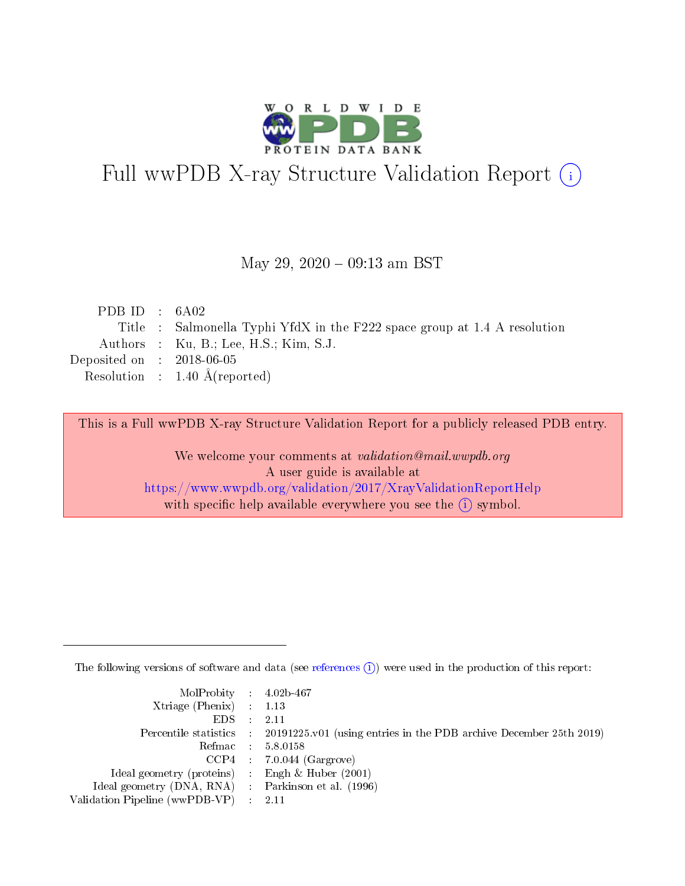

# Full wwPDB X-ray Structure Validation Report (i)

#### May 29,  $2020 - 09:13$  am BST

| PDB ID : $6A02$             |                                                                           |
|-----------------------------|---------------------------------------------------------------------------|
|                             | Title : Salmonella Typhi YfdX in the F222 space group at 1.4 A resolution |
|                             | Authors : $Ku$ , B.; Lee, H.S.; Kim, S.J.                                 |
| Deposited on : $2018-06-05$ |                                                                           |
|                             | Resolution : $1.40 \text{ Å}$ (reported)                                  |
|                             |                                                                           |

This is a Full wwPDB X-ray Structure Validation Report for a publicly released PDB entry.

We welcome your comments at validation@mail.wwpdb.org A user guide is available at <https://www.wwpdb.org/validation/2017/XrayValidationReportHelp> with specific help available everywhere you see the  $(i)$  symbol.

The following versions of software and data (see [references](https://www.wwpdb.org/validation/2017/XrayValidationReportHelp#references)  $(i)$ ) were used in the production of this report:

| MolProbity : 4.02b-467                              |                                                                                                    |
|-----------------------------------------------------|----------------------------------------------------------------------------------------------------|
| Xtriage (Phenix) $: 1.13$                           |                                                                                                    |
| $EDS = 2.11$                                        |                                                                                                    |
|                                                     | Percentile statistics : $20191225 \times 01$ (using entries in the PDB archive December 25th 2019) |
|                                                     | Refmac : 5.8.0158                                                                                  |
|                                                     | $CCP4$ 7.0.044 (Gargrove)                                                                          |
| Ideal geometry (proteins) : Engh $\&$ Huber (2001)  |                                                                                                    |
| Ideal geometry (DNA, RNA) : Parkinson et al. (1996) |                                                                                                    |
| Validation Pipeline (wwPDB-VP) : 2.11               |                                                                                                    |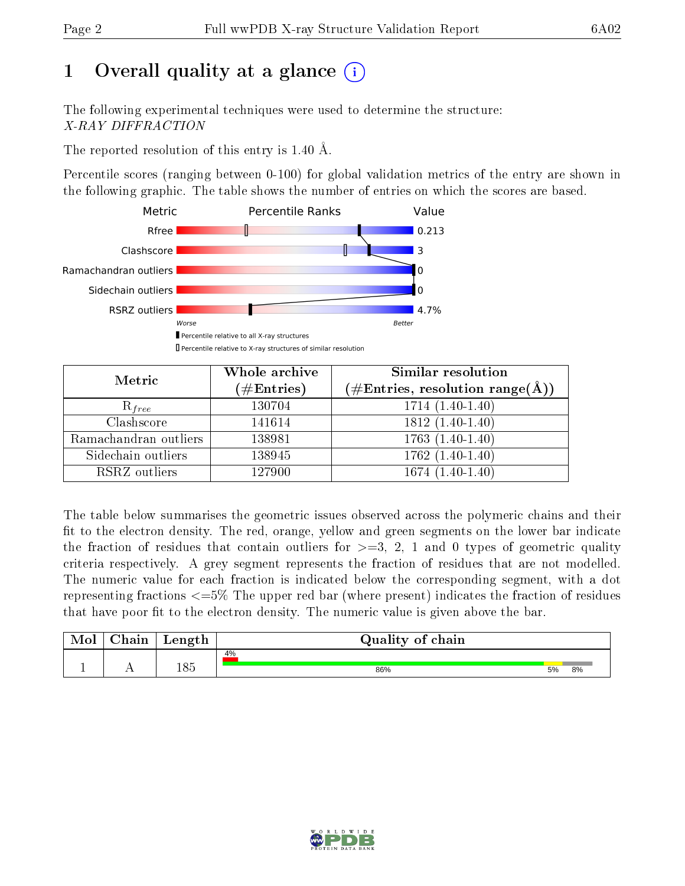# 1 [O](https://www.wwpdb.org/validation/2017/XrayValidationReportHelp#overall_quality)verall quality at a glance  $(i)$

The following experimental techniques were used to determine the structure: X-RAY DIFFRACTION

The reported resolution of this entry is 1.40 Å.

Percentile scores (ranging between 0-100) for global validation metrics of the entry are shown in the following graphic. The table shows the number of entries on which the scores are based.



| Metric                | Whole archive<br>$(\#\mathrm{Entries})$ | Similar resolution<br>$(\#\text{Entries}, \text{resolution range}(\text{\AA}))$ |  |  |
|-----------------------|-----------------------------------------|---------------------------------------------------------------------------------|--|--|
| $R_{free}$            | 130704                                  | $1714(1.40-1.40)$                                                               |  |  |
| Clashscore            | 141614                                  | $1812(1.40-1.40)$                                                               |  |  |
| Ramachandran outliers | 138981                                  | $\overline{1763}$ $(1.40-1.40)$                                                 |  |  |
| Sidechain outliers    | 138945                                  | $1762(1.40-1.40)$                                                               |  |  |
| RSRZ outliers         | 127900                                  | $1674(1.40-1.40)$                                                               |  |  |

The table below summarises the geometric issues observed across the polymeric chains and their fit to the electron density. The red, orange, yellow and green segments on the lower bar indicate the fraction of residues that contain outliers for  $>=3, 2, 1$  and 0 types of geometric quality criteria respectively. A grey segment represents the fraction of residues that are not modelled. The numeric value for each fraction is indicated below the corresponding segment, with a dot representing fractions  $\epsilon=5\%$  The upper red bar (where present) indicates the fraction of residues that have poor fit to the electron density. The numeric value is given above the bar.

| Mol           | nin<br>nann | Length | Quality of chain |    |    |  |  |  |
|---------------|-------------|--------|------------------|----|----|--|--|--|
| <u>. на п</u> | . .         | 185    | 4%<br>86%        | 5% | 8% |  |  |  |

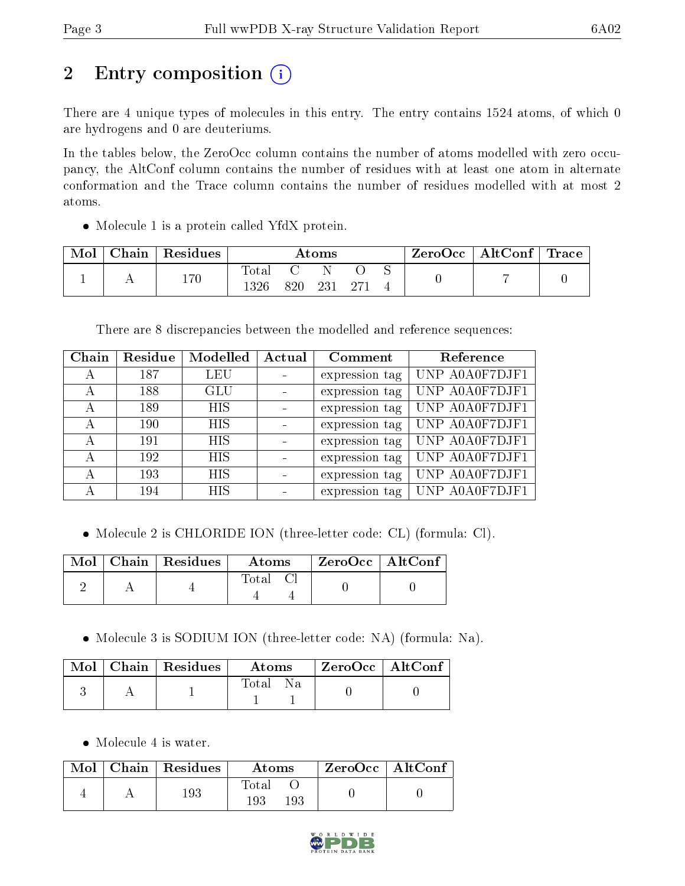# 2 Entry composition (i)

There are 4 unique types of molecules in this entry. The entry contains 1524 atoms, of which 0 are hydrogens and 0 are deuteriums.

In the tables below, the ZeroOcc column contains the number of atoms modelled with zero occupancy, the AltConf column contains the number of residues with at least one atom in alternate conformation and the Trace column contains the number of residues modelled with at most 2 atoms.

• Molecule 1 is a protein called YfdX protein.

| Mol | $\cap$ hain | <sup>'</sup> Residues | $\rm{Atoms}$                    |     |     |  |  | $\rm ZeroOcc \mid AltConf \mid Trace$ |  |
|-----|-------------|-----------------------|---------------------------------|-----|-----|--|--|---------------------------------------|--|
|     |             | 170                   | $\tau_\mathrm{otai}$<br>1 2 9 G | 820 | 231 |  |  |                                       |  |

There are 8 discrepancies between the modelled and reference sequences:

| Chain | Residue | Modelled   | Actual | Comment        | Reference      |
|-------|---------|------------|--------|----------------|----------------|
| А     | 187     | <b>LEU</b> |        | expression tag | UNP A0A0F7DJF1 |
| А     | 188     | <b>GLU</b> |        | expression tag | UNP A0A0F7DJF1 |
| А     | 189     | HIS        |        | expression tag | UNP A0A0F7DJF1 |
| А     | 190     | <b>HIS</b> |        | expression tag | UNP A0A0F7DJF1 |
| А     | 191     | <b>HIS</b> |        | expression tag | UNP A0A0F7DJF1 |
| А     | 192     | <b>HIS</b> |        | expression tag | UNP A0A0F7DJF1 |
| А     | 193     | <b>HIS</b> |        | expression tag | UNP A0A0F7DJF1 |
| А     | 194     | HIS        |        | expression tag | UNP A0A0F7DJF1 |

Molecule 2 is CHLORIDE ION (three-letter code: CL) (formula: Cl).

|  | Mol   Chain   Residues | $\bold{Atoms}$ | ZeroOcc   AltConf |  |
|--|------------------------|----------------|-------------------|--|
|  |                        | Total          |                   |  |

Molecule 3 is SODIUM ION (three-letter code: NA) (formula: Na).

|  | $\text{Mol}$   Chain   Residues | Atoms | $\,$ ZeroOcc   AltConf |  |
|--|---------------------------------|-------|------------------------|--|
|  |                                 | Total |                        |  |

• Molecule 4 is water.

|  | $Mol$   Chain   Residues | Atoms               | $\rm ZeroOcc \mid AltConf$ |  |
|--|--------------------------|---------------------|----------------------------|--|
|  | 193                      | Total<br>193<br>193 |                            |  |

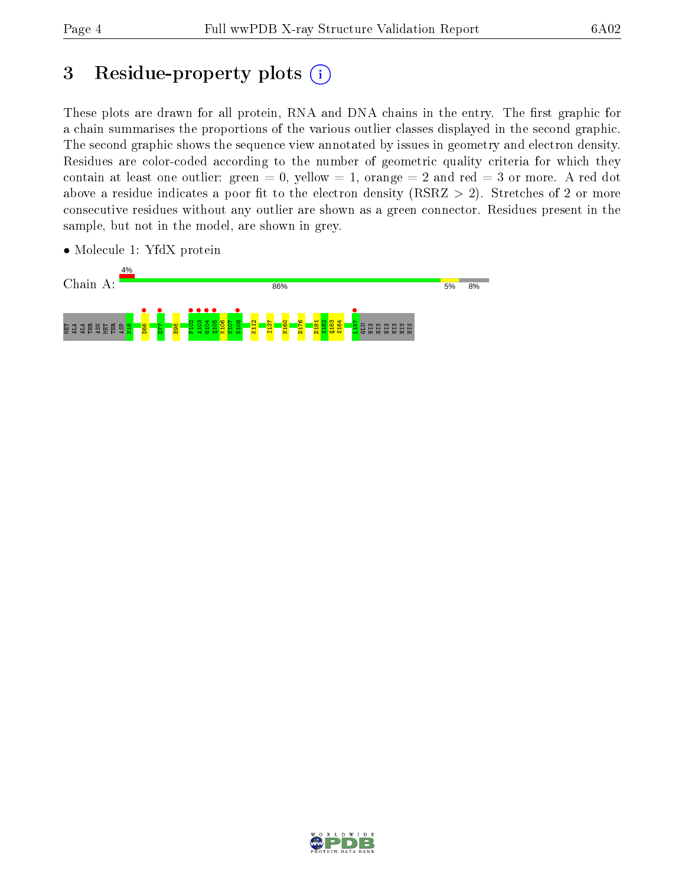# 3 Residue-property plots  $(i)$

These plots are drawn for all protein, RNA and DNA chains in the entry. The first graphic for a chain summarises the proportions of the various outlier classes displayed in the second graphic. The second graphic shows the sequence view annotated by issues in geometry and electron density. Residues are color-coded according to the number of geometric quality criteria for which they contain at least one outlier: green  $= 0$ , yellow  $= 1$ , orange  $= 2$  and red  $= 3$  or more. A red dot above a residue indicates a poor fit to the electron density (RSRZ  $> 2$ ). Stretches of 2 or more consecutive residues without any outlier are shown as a green connector. Residues present in the sample, but not in the model, are shown in grey.



• Molecule 1: YfdX protein

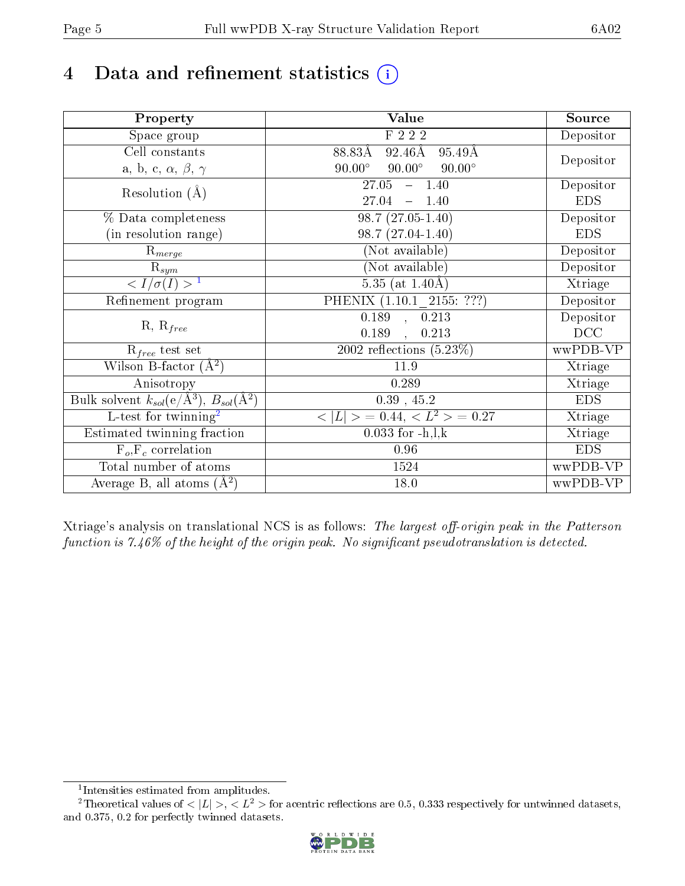# 4 Data and refinement statistics  $(i)$

| Property                                                             | Value                                            | Source     |
|----------------------------------------------------------------------|--------------------------------------------------|------------|
| Space group                                                          | F 2 2 2                                          | Depositor  |
| Cell constants                                                       | 88.83Å<br>$92.46\text{\AA}$<br>$95.49\text{\AA}$ |            |
| a, b, c, $\alpha$ , $\beta$ , $\gamma$                               | $90.00^\circ$<br>$90.00^\circ$<br>$90.00^\circ$  | Depositor  |
| Resolution $(A)$                                                     | 27.05<br>$-1.40$                                 | Depositor  |
|                                                                      | 27.04<br>$-1.40$                                 | <b>EDS</b> |
| % Data completeness                                                  | $98.7(27.05-1.40)$                               | Depositor  |
| (in resolution range)                                                | $98.7(27.04-1.40)$                               | <b>EDS</b> |
| $R_{merge}$                                                          | (Not available)                                  | Depositor  |
| $\mathrm{R}_{sym}$                                                   | (Not available)                                  | Depositor  |
| $\sqrt{I/\sigma}(I) > 1$                                             | 5.35 (at $1.40\text{\AA}$ )                      | Xtriage    |
| Refinement program                                                   | PHENIX (1.10.1 2155: ???)                        | Depositor  |
|                                                                      | 0.189, 0.213                                     | Depositor  |
| $R, R_{free}$                                                        | 0.189<br>0.213                                   | DCC        |
| $R_{free}$ test set                                                  | 2002 reflections $(5.23\%)$                      | wwPDB-VP   |
| Wilson B-factor $(A^2)$                                              | 11.9                                             | Xtriage    |
| Anisotropy                                                           | 0.289                                            | Xtriage    |
| Bulk solvent $k_{sol}(e/\mathring{A}^3)$ , $B_{sol}(\mathring{A}^2)$ | $0.39$ , 45.2                                    | <b>EDS</b> |
| L-test for twinning <sup>2</sup>                                     | $  > 0.44, < L^2 > 0.27$<br>< L                  | Xtriage    |
| Estimated twinning fraction                                          | $0.033$ for $-h, l, k$                           | Xtriage    |
| $F_o, F_c$ correlation                                               | 0.96                                             | <b>EDS</b> |
| Total number of atoms                                                | 1524                                             | wwPDB-VP   |
| Average B, all atoms $(A^2)$                                         | 18.0                                             | wwPDB-VP   |

Xtriage's analysis on translational NCS is as follows: The largest off-origin peak in the Patterson function is  $7.46\%$  of the height of the origin peak. No significant pseudotranslation is detected.

<sup>&</sup>lt;sup>2</sup>Theoretical values of  $\langle |L| \rangle$ ,  $\langle L^2 \rangle$  for acentric reflections are 0.5, 0.333 respectively for untwinned datasets, and 0.375, 0.2 for perfectly twinned datasets.



<span id="page-4-1"></span><span id="page-4-0"></span><sup>1</sup> Intensities estimated from amplitudes.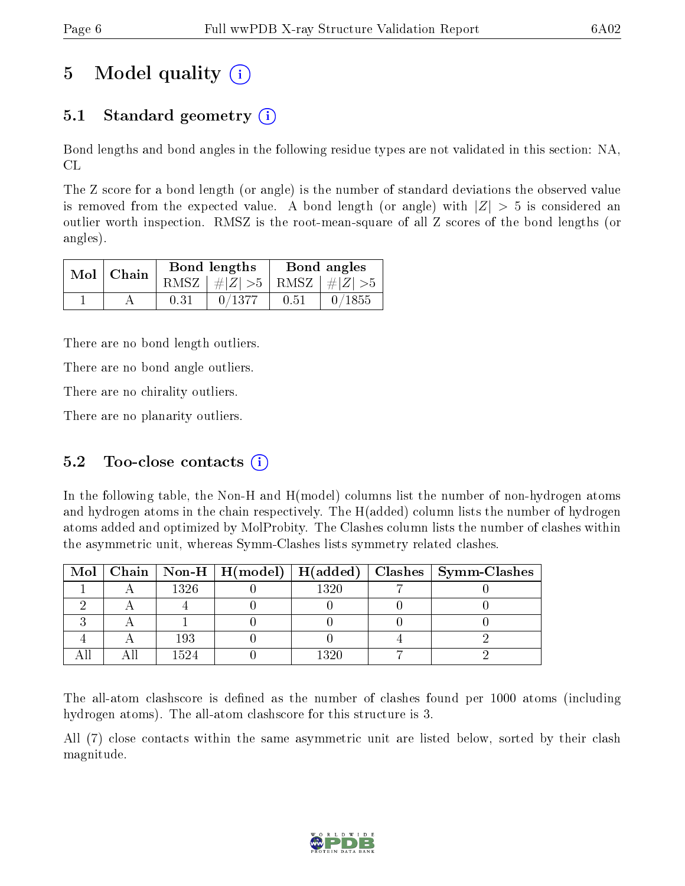# 5 Model quality  $(i)$

# 5.1 Standard geometry  $(i)$

Bond lengths and bond angles in the following residue types are not validated in this section: NA, CL

The Z score for a bond length (or angle) is the number of standard deviations the observed value is removed from the expected value. A bond length (or angle) with  $|Z| > 5$  is considered an outlier worth inspection. RMSZ is the root-mean-square of all Z scores of the bond lengths (or angles).

|  | $Mol$   Chain |      | Bond lengths                    | Bond angles |           |  |
|--|---------------|------|---------------------------------|-------------|-----------|--|
|  |               |      | RMSZ $ #Z  > 5$ RMSZ $ #Z  > 5$ |             |           |  |
|  |               | 0.31 | 0/1377                          | 0.51        | $-0/1855$ |  |

There are no bond length outliers.

There are no bond angle outliers.

There are no chirality outliers.

There are no planarity outliers.

### 5.2 Too-close contacts  $(i)$

In the following table, the Non-H and H(model) columns list the number of non-hydrogen atoms and hydrogen atoms in the chain respectively. The H(added) column lists the number of hydrogen atoms added and optimized by MolProbity. The Clashes column lists the number of clashes within the asymmetric unit, whereas Symm-Clashes lists symmetry related clashes.

|  |      |      | Mol   Chain   Non-H   H(model)   H(added)   Clashes   Symm-Clashes |
|--|------|------|--------------------------------------------------------------------|
|  | 1326 | 1320 |                                                                    |
|  |      |      |                                                                    |
|  |      |      |                                                                    |
|  | 193  |      |                                                                    |
|  | 1524 | 1320 |                                                                    |

The all-atom clashscore is defined as the number of clashes found per 1000 atoms (including hydrogen atoms). The all-atom clashscore for this structure is 3.

All (7) close contacts within the same asymmetric unit are listed below, sorted by their clash magnitude.

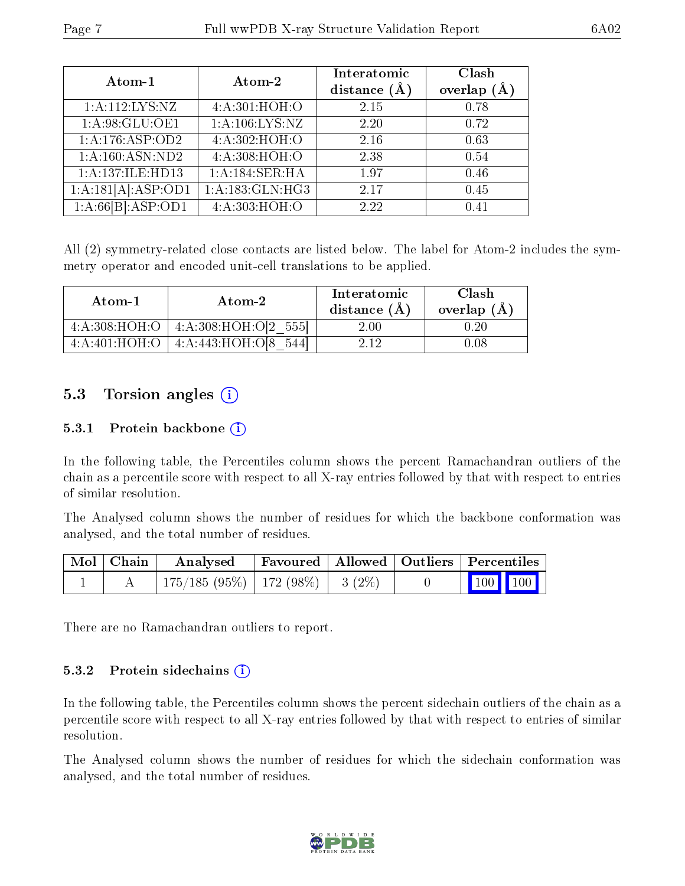| Atom-1                          | Atom-2          | Interatomic<br>distance $(A)$ | Clash<br>overlap (Å |
|---------------------------------|-----------------|-------------------------------|---------------------|
| 1:A:112:LYS:NZ                  | 4:A:301:HOH:O   | 2.15                          | 0.78                |
| 1:A:98:GLU:OE1                  | 1:A:106:LYS:NZ  | 2.20                          | 0.72                |
| 1:A:176:ASP:OD2                 | 4:A:302:HOH:O   | 2.16                          | 0.63                |
| 1: A:160: ASN:ND2               | 4:A:308:HOH:O   | 2.38                          | 0.54                |
| 1:A:137:ILE:HD13                | 1:A:184:SER:HA  | 1.97                          | 0.46                |
| $1:A:181[A]:\overline{ASP:OD1}$ | 1:A:183:GLN:HG3 | 2.17                          | 0.45                |
| 1:A:66[B]:ASP:OD1               | 4:A:303:HOH:O   | 2.22                          | 0.41                |

All (2) symmetry-related close contacts are listed below. The label for Atom-2 includes the symmetry operator and encoded unit-cell translations to be applied.

| Atom-1        | Atom-2               | Interatomic<br>distance $(A)$ | Clash<br>overlap $(A)$ |  |
|---------------|----------------------|-------------------------------|------------------------|--|
| 4:A:308:HOH:O | 4:A:308:HOH:O[2 555] | 2.00                          | ) 20                   |  |
| 4:A:401:HOH:O | 4:A:443:HOH:O[8]     | -9-19                         |                        |  |

### 5.3 Torsion angles  $(i)$

#### 5.3.1 Protein backbone (i)

In the following table, the Percentiles column shows the percent Ramachandran outliers of the chain as a percentile score with respect to all X-ray entries followed by that with respect to entries of similar resolution.

The Analysed column shows the number of residues for which the backbone conformation was analysed, and the total number of residues.

| Mol   Chain | Analysed                                |  | Favoured   Allowed   Outliers   Percentiles                  |  |
|-------------|-----------------------------------------|--|--------------------------------------------------------------|--|
|             | $175/185 (95\%)$   172 (98\%)   3 (2\%) |  | $\begin{array}{ c c c c c }\n\hline\n100 & 100\n\end{array}$ |  |

There are no Ramachandran outliers to report.

#### 5.3.2 Protein sidechains  $\hat{1}$

In the following table, the Percentiles column shows the percent sidechain outliers of the chain as a percentile score with respect to all X-ray entries followed by that with respect to entries of similar resolution.

The Analysed column shows the number of residues for which the sidechain conformation was analysed, and the total number of residues.

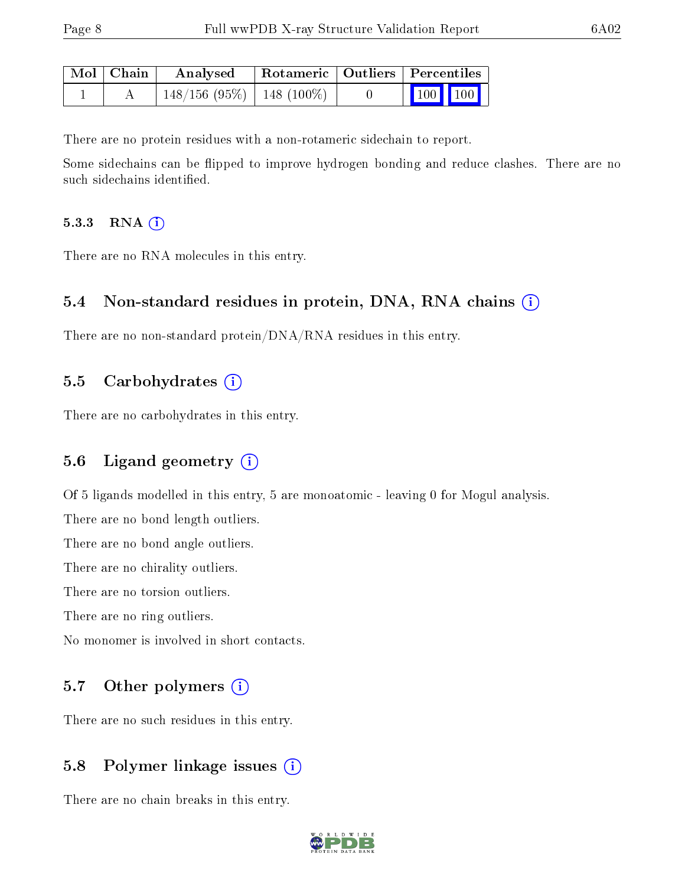| Mol   Chain | Analysed                       |  | Rotameric   Outliers   Percentiles |  |
|-------------|--------------------------------|--|------------------------------------|--|
|             | $148/156$ (95\%)   148 (100\%) |  | $\vert$ 100 100 $\vert$            |  |

There are no protein residues with a non-rotameric sidechain to report.

Some sidechains can be flipped to improve hydrogen bonding and reduce clashes. There are no such sidechains identified.

#### 5.3.3 RNA (i)

There are no RNA molecules in this entry.

### 5.4 Non-standard residues in protein, DNA, RNA chains (i)

There are no non-standard protein/DNA/RNA residues in this entry.

#### 5.5 Carbohydrates (i)

There are no carbohydrates in this entry.

### 5.6 Ligand geometry  $(i)$

Of 5 ligands modelled in this entry, 5 are monoatomic - leaving 0 for Mogul analysis.

There are no bond length outliers.

There are no bond angle outliers.

There are no chirality outliers.

There are no torsion outliers.

There are no ring outliers.

No monomer is involved in short contacts.

### 5.7 [O](https://www.wwpdb.org/validation/2017/XrayValidationReportHelp#nonstandard_residues_and_ligands)ther polymers (i)

There are no such residues in this entry.

### 5.8 Polymer linkage issues (i)

There are no chain breaks in this entry.

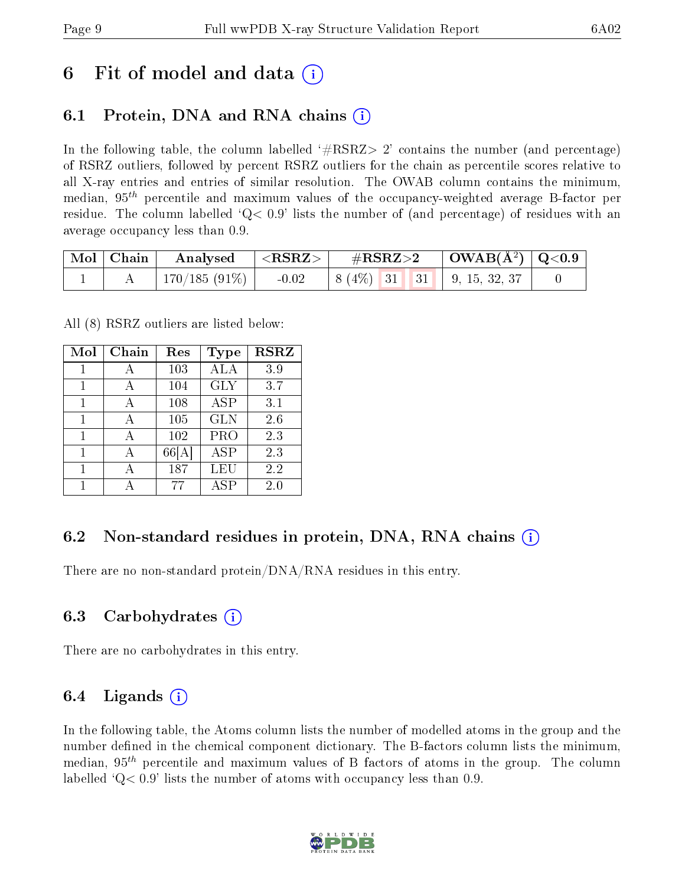# 6 Fit of model and data  $\left( \cdot \right)$

# 6.1 Protein, DNA and RNA chains (i)

In the following table, the column labelled  $#RSRZ>2'$  contains the number (and percentage) of RSRZ outliers, followed by percent RSRZ outliers for the chain as percentile scores relative to all X-ray entries and entries of similar resolution. The OWAB column contains the minimum, median,  $95<sup>th</sup>$  percentile and maximum values of the occupancy-weighted average B-factor per residue. The column labelled  $Q < 0.9$  lists the number of (and percentage) of residues with an average occupancy less than 0.9.

| $\mid$ Mol $\mid$ Chain | Analysed        | $^\circ$ <rsrz></rsrz> | $\rm \#RSRZ{>}2$ |  | $\mid$ OWAB(Å <sup>2</sup> ) $\mid$ Q<0.9 $\mid$ |  |
|-------------------------|-----------------|------------------------|------------------|--|--------------------------------------------------|--|
|                         | $170/185(91\%)$ | $-0.02$                |                  |  | $\mid 8(4\%)$ 31 31 9, 15, 32, 37                |  |

All (8) RSRZ outliers are listed below:

| Mol | Chain | Res  | Type       | <b>RSRZ</b> |
|-----|-------|------|------------|-------------|
| 1   | А     | 103  | ALA        | 3.9         |
| 1   | А     | 104  | <b>GLY</b> | 3.7         |
| 1   | А     | 108  | <b>ASP</b> | 3.1         |
| 1   | А     | 105  | <b>GLN</b> | 2.6         |
| 1   | А     | 102  | PRO        | 2.3         |
| 1   | А     | 66 A | <b>ASP</b> | 2.3         |
| 1   |       | 187  | LEU        | 2.2         |
|     |       | 77   | ASP        | $2.0\,$     |

# 6.2 Non-standard residues in protein, DNA, RNA chains  $(i)$

There are no non-standard protein/DNA/RNA residues in this entry.

### 6.3 Carbohydrates (i)

There are no carbohydrates in this entry.

### 6.4 Ligands  $(i)$

In the following table, the Atoms column lists the number of modelled atoms in the group and the number defined in the chemical component dictionary. The B-factors column lists the minimum, median,  $95<sup>th</sup>$  percentile and maximum values of B factors of atoms in the group. The column labelled  $Q< 0.9$ ' lists the number of atoms with occupancy less than 0.9.